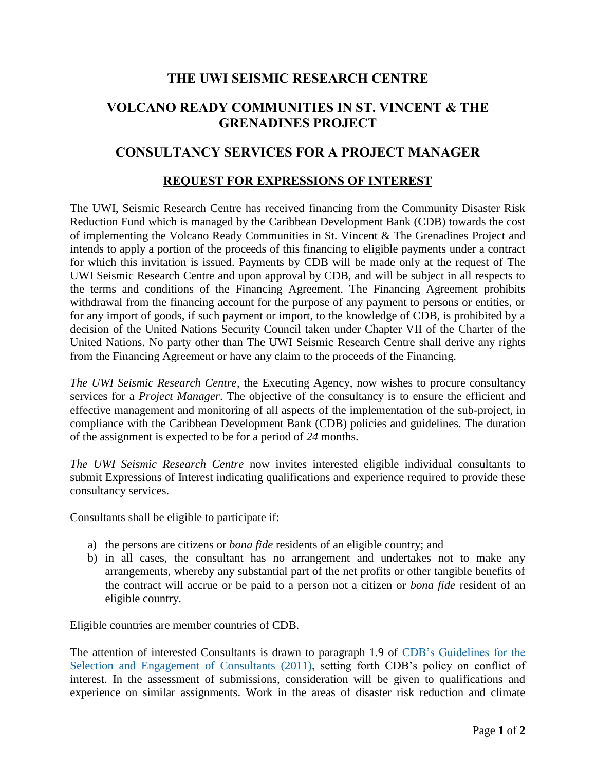# **THE UWI SEISMIC RESEARCH CENTRE**

# **VOLCANO READY COMMUNITIES IN ST. VINCENT & THE GRENADINES PROJECT**

## **CONSULTANCY SERVICES FOR A PROJECT MANAGER**

### **REQUEST FOR EXPRESSIONS OF INTEREST**

The UWI, Seismic Research Centre has received financing from the Community Disaster Risk Reduction Fund which is managed by the Caribbean Development Bank (CDB) towards the cost of implementing the Volcano Ready Communities in St. Vincent & The Grenadines Project and intends to apply a portion of the proceeds of this financing to eligible payments under a contract for which this invitation is issued. Payments by CDB will be made only at the request of The UWI Seismic Research Centre and upon approval by CDB, and will be subject in all respects to the terms and conditions of the Financing Agreement. The Financing Agreement prohibits withdrawal from the financing account for the purpose of any payment to persons or entities, or for any import of goods, if such payment or import, to the knowledge of CDB, is prohibited by a decision of the United Nations Security Council taken under Chapter VII of the Charter of the United Nations. No party other than The UWI Seismic Research Centre shall derive any rights from the Financing Agreement or have any claim to the proceeds of the Financing.

*The UWI Seismic Research Centre*, the Executing Agency, now wishes to procure consultancy services for a *Project Manager*. The objective of the consultancy is to ensure the efficient and effective management and monitoring of all aspects of the implementation of the sub-project, in compliance with the Caribbean Development Bank (CDB) policies and guidelines. The duration of the assignment is expected to be for a period of *24* months.

*The UWI Seismic Research Centre* now invites interested eligible individual consultants to submit Expressions of Interest indicating qualifications and experience required to provide these consultancy services.

Consultants shall be eligible to participate if:

- a) the persons are citizens or *bona fide* residents of an eligible country; and
- b) in all cases, the consultant has no arrangement and undertakes not to make any arrangements, whereby any substantial part of the net profits or other tangible benefits of the contract will accrue or be paid to a person not a citizen or *bona fide* resident of an eligible country.

Eligible countries are member countries of CDB.

The attention of interested Consultants is drawn to paragraph 1.9 of [CDB's Guidelines for the](http://www.caribank.org/uploads/2015/03/Guidelines_Selection-_And_Engagement_of_Consultants.pdf)  [Selection and Engagement of Consultants \(2011\),](http://www.caribank.org/uploads/2015/03/Guidelines_Selection-_And_Engagement_of_Consultants.pdf) setting forth CDB's policy on conflict of interest. In the assessment of submissions, consideration will be given to qualifications and experience on similar assignments. Work in the areas of disaster risk reduction and climate